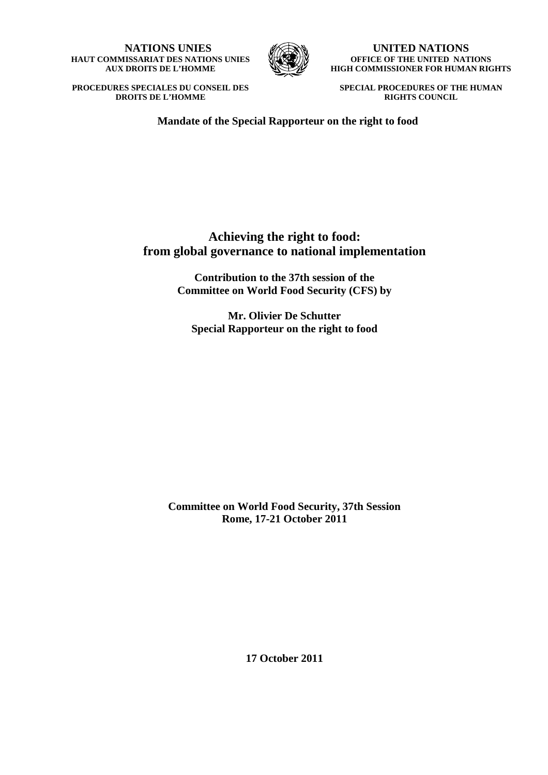**NATIONS UNIES HAUT COMMISSARIAT DES NATIONS UNIES AUX DROITS DE L'HOMME** 



**UNITED NATIONS OFFICE OF THE UNITED NATIONS HIGH COMMISSIONER FOR HUMAN RIGHTS** 

**PROCEDURES SPECIALES DU CONSEIL DES DROITS DE L'HOMME**

**SPECIAL PROCEDURES OF THE HUMAN RIGHTS COUNCIL**

 **Mandate of the Special Rapporteur on the right to food** 

# **Achieving the right to food: from global governance to national implementation**

**Contribution to the 37th session of the Committee on World Food Security (CFS) by** 

**Mr. Olivier De Schutter Special Rapporteur on the right to food** 

**Committee on World Food Security, 37th Session Rome, 17-21 October 2011** 

**17 October 2011**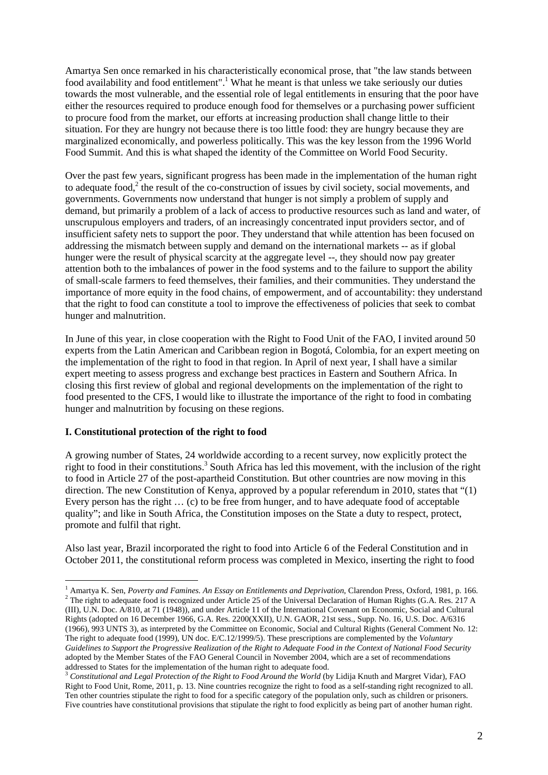Amartya Sen once remarked in his characteristically economical prose, that "the law stands between food availability and food entitlement".<sup>1</sup> What he meant is that unless we take seriously our duties towards the most vulnerable, and the essential role of legal entitlements in ensuring that the poor have either the resources required to produce enough food for themselves or a purchasing power sufficient to procure food from the market, our efforts at increasing production shall change little to their situation. For they are hungry not because there is too little food: they are hungry because they are marginalized economically, and powerless politically. This was the key lesson from the 1996 World Food Summit. And this is what shaped the identity of the Committee on World Food Security.

Over the past few years, significant progress has been made in the implementation of the human right to adequate food,<sup>2</sup> the result of the co-construction of issues by civil society, social movements, and governments. Governments now understand that hunger is not simply a problem of supply and demand, but primarily a problem of a lack of access to productive resources such as land and water, of unscrupulous employers and traders, of an increasingly concentrated input providers sector, and of insufficient safety nets to support the poor. They understand that while attention has been focused on addressing the mismatch between supply and demand on the international markets -- as if global hunger were the result of physical scarcity at the aggregate level --, they should now pay greater attention both to the imbalances of power in the food systems and to the failure to support the ability of small-scale farmers to feed themselves, their families, and their communities. They understand the importance of more equity in the food chains, of empowerment, and of accountability: they understand that the right to food can constitute a tool to improve the effectiveness of policies that seek to combat hunger and malnutrition.

In June of this year, in close cooperation with the Right to Food Unit of the FAO, I invited around 50 experts from the Latin American and Caribbean region in Bogotá, Colombia, for an expert meeting on the implementation of the right to food in that region. In April of next year, I shall have a similar expert meeting to assess progress and exchange best practices in Eastern and Southern Africa. In closing this first review of global and regional developments on the implementation of the right to food presented to the CFS, I would like to illustrate the importance of the right to food in combating hunger and malnutrition by focusing on these regions.

#### **I. Constitutional protection of the right to food**

 $\overline{a}$ 

A growing number of States, 24 worldwide according to a recent survey, now explicitly protect the right to food in their constitutions.<sup>3</sup> South Africa has led this movement, with the inclusion of the right to food in Article 27 of the post-apartheid Constitution. But other countries are now moving in this direction. The new Constitution of Kenya, approved by a popular referendum in 2010, states that "(1) Every person has the right … (c) to be free from hunger, and to have adequate food of acceptable quality"; and like in South Africa, the Constitution imposes on the State a duty to respect, protect, promote and fulfil that right.

Also last year, Brazil incorporated the right to food into Article 6 of the Federal Constitution and in October 2011, the constitutional reform process was completed in Mexico, inserting the right to food

<sup>&</sup>lt;sup>1</sup> Amartya K. Sen, *Poverty and Famines. An Essay on Entitlements and Deprivation*, Clarendon Press, Oxford, 1981, p. 166. <sup>2</sup> The right to adequate food is recognized under Article 25 of the Universal Declaration of Human Rights (G.A. Res.  $217 \text{ A}$ (III), U.N. Doc. A/810, at 71 (1948)), and under Article 11 of the International Covenant on Economic, Social and Cultural Rights (adopted on 16 December 1966, G.A. Res. 2200(XXII), U.N. GAOR, 21st sess., Supp. No. 16, U.S. Doc. A/6316 (1966), 993 UNTS 3), as interpreted by the Committee on Economic, Social and Cultural Rights (General Comment No. 12: The right to adequate food (1999), UN doc. E/C.12/1999/5). These prescriptions are complemented by the *Voluntary Guidelines to Support the Progressive Realization of the Right to Adequate Food in the Context of National Food Security* adopted by the Member States of the FAO General Council in November 2004, which are a set of recommendations addressed to States for the implementation of the human right to adequate food.

<sup>&</sup>lt;sup>3</sup> Constitutional and Legal Protection of the Right to Food Around the World (by Lidija Knuth and Margret Vidar), FAO Right to Food Unit, Rome, 2011, p. 13. Nine countries recognize the right to food as a self-standing right recognized to all. Ten other countries stipulate the right to food for a specific category of the population only, such as children or prisoners. Five countries have constitutional provisions that stipulate the right to food explicitly as being part of another human right.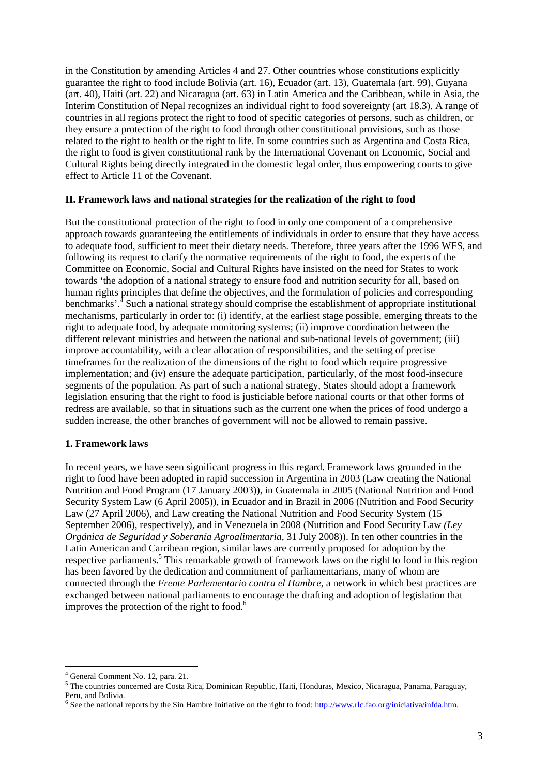in the Constitution by amending Articles 4 and 27. Other countries whose constitutions explicitly guarantee the right to food include Bolivia (art. 16), Ecuador (art. 13), Guatemala (art. 99), Guyana (art. 40), Haiti (art. 22) and Nicaragua (art. 63) in Latin America and the Caribbean, while in Asia, the Interim Constitution of Nepal recognizes an individual right to food sovereignty (art 18.3). A range of countries in all regions protect the right to food of specific categories of persons, such as children, or they ensure a protection of the right to food through other constitutional provisions, such as those related to the right to health or the right to life. In some countries such as Argentina and Costa Rica, the right to food is given constitutional rank by the International Covenant on Economic, Social and Cultural Rights being directly integrated in the domestic legal order, thus empowering courts to give effect to Article 11 of the Covenant.

#### **II. Framework laws and national strategies for the realization of the right to food**

But the constitutional protection of the right to food in only one component of a comprehensive approach towards guaranteeing the entitlements of individuals in order to ensure that they have access to adequate food, sufficient to meet their dietary needs. Therefore, three years after the 1996 WFS, and following its request to clarify the normative requirements of the right to food, the experts of the Committee on Economic, Social and Cultural Rights have insisted on the need for States to work towards 'the adoption of a national strategy to ensure food and nutrition security for all, based on human rights principles that define the objectives, and the formulation of policies and corresponding benchmarks'.<sup>4</sup> Such a national strategy should comprise the establishment of appropriate institutional mechanisms, particularly in order to: (i) identify, at the earliest stage possible, emerging threats to the right to adequate food, by adequate monitoring systems; (ii) improve coordination between the different relevant ministries and between the national and sub-national levels of government; (iii) improve accountability, with a clear allocation of responsibilities, and the setting of precise timeframes for the realization of the dimensions of the right to food which require progressive implementation; and (iv) ensure the adequate participation, particularly, of the most food-insecure segments of the population. As part of such a national strategy, States should adopt a framework legislation ensuring that the right to food is justiciable before national courts or that other forms of redress are available, so that in situations such as the current one when the prices of food undergo a sudden increase, the other branches of government will not be allowed to remain passive.

#### **1. Framework laws**

In recent years, we have seen significant progress in this regard. Framework laws grounded in the right to food have been adopted in rapid succession in Argentina in 2003 (Law creating the National Nutrition and Food Program (17 January 2003)), in Guatemala in 2005 (National Nutrition and Food Security System Law (6 April 2005)), in Ecuador and in Brazil in 2006 (Nutrition and Food Security Law (27 April 2006), and Law creating the National Nutrition and Food Security System (15 September 2006), respectively), and in Venezuela in 2008 (Nutrition and Food Security Law *(Ley Orgánica de Seguridad y Soberanía Agroalimentaria*, 31 July 2008)). In ten other countries in the Latin American and Carribean region, similar laws are currently proposed for adoption by the respective parliaments.<sup>5</sup> This remarkable growth of framework laws on the right to food in this region has been favored by the dedication and commitment of parliamentarians, many of whom are connected through the *Frente Parlementario contra el Hambre*, a network in which best practices are exchanged between national parliaments to encourage the drafting and adoption of legislation that improves the protection of the right to food. $<sup>6</sup>$ </sup>

 $\overline{a}$ 

<sup>4</sup> General Comment No. 12, para. 21.

<sup>5</sup> The countries concerned are Costa Rica, Dominican Republic, Haiti, Honduras, Mexico, Nicaragua, Panama, Paraguay, Peru, and Bolivia.

<sup>&</sup>lt;sup>6</sup> See the national reports by the Sin Hambre Initiative on the right to food: http://www.rlc.fao.org/iniciativa/infda.htm.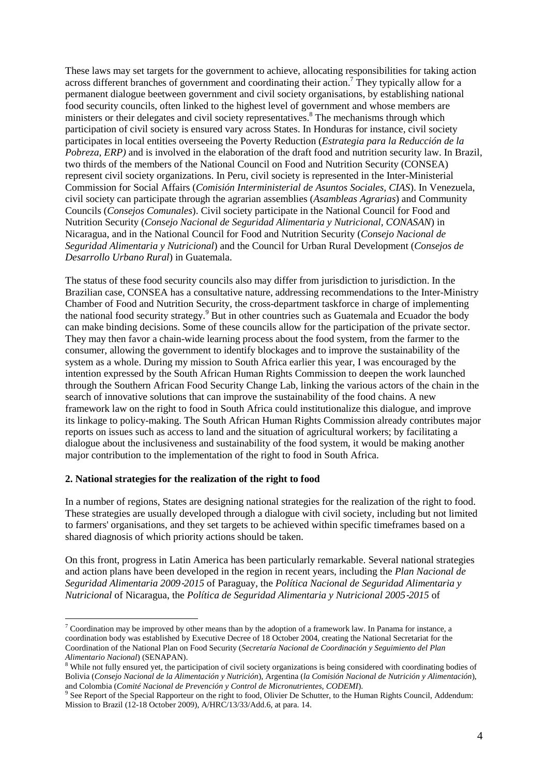These laws may set targets for the government to achieve, allocating responsibilities for taking action across different branches of government and coordinating their action.<sup>7</sup> They typically allow for a permanent dialogue beetween government and civil society organisations, by establishing national food security councils, often linked to the highest level of government and whose members are ministers or their delegates and civil society representatives.<sup>8</sup> The mechanisms through which participation of civil society is ensured vary across States. In Honduras for instance, civil society participates in local entities overseeing the Poverty Reduction (*Estrategia para la Reducción de la Pobreza*, *ERP)* and is involved in the elaboration of the draft food and nutrition security law. In Brazil, two thirds of the members of the National Council on Food and Nutrition Security (CONSEA) represent civil society organizations. In Peru, civil society is represented in the Inter-Ministerial Commission for Social Affairs (*Comisión Interministerial de Asuntos Sociales, CIAS*). In Venezuela, civil society can participate through the agrarian assemblies (*Asambleas Agrarias*) and Community Councils (*Consejos Comunales*). Civil society participate in the National Council for Food and Nutrition Security (*Consejo Nacional de Seguridad Alimentaria y Nutricional, CONASAN*) in Nicaragua, and in the National Council for Food and Nutrition Security (*Consejo Nacional de Seguridad Alimentaria y Nutricional*) and the Council for Urban Rural Development (*Consejos de Desarrollo Urbano Rural*) in Guatemala.

The status of these food security councils also may differ from jurisdiction to jurisdiction. In the Brazilian case, CONSEA has a consultative nature, addressing recommendations to the Inter-Ministry Chamber of Food and Nutrition Security, the cross-department taskforce in charge of implementing the national food security strategy.<sup>9</sup> But in other countries such as Guatemala and Ecuador the body can make binding decisions. Some of these councils allow for the participation of the private sector. They may then favor a chain-wide learning process about the food system, from the farmer to the consumer, allowing the government to identify blockages and to improve the sustainability of the system as a whole. During my mission to South Africa earlier this year, I was encouraged by the intention expressed by the South African Human Rights Commission to deepen the work launched through the Southern African Food Security Change Lab, linking the various actors of the chain in the search of innovative solutions that can improve the sustainability of the food chains. A new framework law on the right to food in South Africa could institutionalize this dialogue, and improve its linkage to policy-making. The South African Human Rights Commission already contributes major reports on issues such as access to land and the situation of agricultural workers; by facilitating a dialogue about the inclusiveness and sustainability of the food system, it would be making another major contribution to the implementation of the right to food in South Africa.

#### **2. National strategies for the realization of the right to food**

 $\overline{a}$ 

In a number of regions, States are designing national strategies for the realization of the right to food. These strategies are usually developed through a dialogue with civil society, including but not limited to farmers' organisations, and they set targets to be achieved within specific timeframes based on a shared diagnosis of which priority actions should be taken.

On this front, progress in Latin America has been particularly remarkable. Several national strategies and action plans have been developed in the region in recent years, including the *Plan Nacional de Seguridad Alimentaria 2009*‐*2015* of Paraguay, the *Política Nacional de Seguridad Alimentaria y Nutricional* of Nicaragua, the *Política de Seguridad Alimentaria y Nutricional 2005*‐*2015* of

<sup>&</sup>lt;sup>7</sup> Coordination may be improved by other means than by the adoption of a framework law. In Panama for instance, a coordination body was established by Executive Decree of 18 October 2004, creating the National Secretariat for the Coordination of the National Plan on Food Security (*Secretaría Nacional de Coordinación y Seguimiento del Plan Alimentario Nacional*) (SENAPAN). 8 While not fully ensured yet, the participation of civil society organizations is being considered with coordinating bodies of

Bolivia (*Consejo Nacional de la Alimentación y Nutrición*), Argentina (*la Comisión Nacional de Nutrición y Alimentación*), and Colombia (*Comité Nacional de Prevención y Control de Micronutrientes, CODEMI*).

<sup>&</sup>lt;sup>9</sup> See Report of the Special Rapporteur on the right to food, Olivier De Schutter, to the Human Rights Council, Addendum: Mission to Brazil (12-18 October 2009), A/HRC/13/33/Add.6, at para. 14.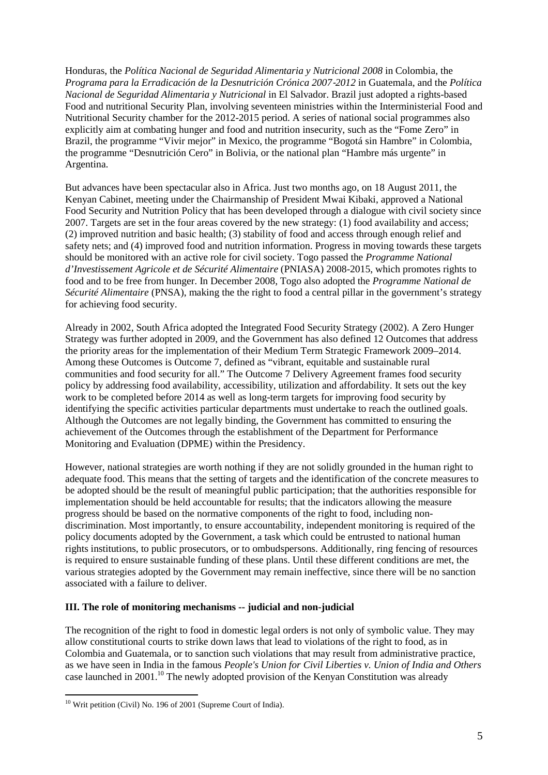Honduras, the *Política Nacional de Seguridad Alimentaria y Nutricional 2008* in Colombia, the *Programa para la Erradicación de la Desnutrición Crónica 2007*‐*2012* in Guatemala, and the *Política Nacional de Seguridad Alimentaria y Nutricional* in El Salvador. Brazil just adopted a rights-based Food and nutritional Security Plan, involving seventeen ministries within the Interministerial Food and Nutritional Security chamber for the 2012-2015 period. A series of national social programmes also explicitly aim at combating hunger and food and nutrition insecurity, such as the "Fome Zero" in Brazil, the programme "Vivir mejor" in Mexico, the programme "Bogotá sin Hambre" in Colombia, the programme "Desnutrición Cero" in Bolivia, or the national plan "Hambre más urgente" in Argentina.

But advances have been spectacular also in Africa. Just two months ago, on 18 August 2011, the Kenyan Cabinet, meeting under the Chairmanship of President Mwai Kibaki, approved a National Food Security and Nutrition Policy that has been developed through a dialogue with civil society since 2007. Targets are set in the four areas covered by the new strategy: (1) food availability and access; (2) improved nutrition and basic health; (3) stability of food and access through enough relief and safety nets; and (4) improved food and nutrition information. Progress in moving towards these targets should be monitored with an active role for civil society. Togo passed the *Programme National d'Investissement Agricole et de Sécurité Alimentaire* (PNIASA) 2008-2015, which promotes rights to food and to be free from hunger. In December 2008, Togo also adopted the *Programme National de Sécurité Alimentaire* (PNSA), making the the right to food a central pillar in the government's strategy for achieving food security.

Already in 2002, South Africa adopted the Integrated Food Security Strategy (2002). A Zero Hunger Strategy was further adopted in 2009, and the Government has also defined 12 Outcomes that address the priority areas for the implementation of their Medium Term Strategic Framework 2009–2014. Among these Outcomes is Outcome 7, defined as "vibrant, equitable and sustainable rural communities and food security for all." The Outcome 7 Delivery Agreement frames food security policy by addressing food availability, accessibility, utilization and affordability. It sets out the key work to be completed before 2014 as well as long-term targets for improving food security by identifying the specific activities particular departments must undertake to reach the outlined goals. Although the Outcomes are not legally binding, the Government has committed to ensuring the achievement of the Outcomes through the establishment of the Department for Performance Monitoring and Evaluation (DPME) within the Presidency.

However, national strategies are worth nothing if they are not solidly grounded in the human right to adequate food. This means that the setting of targets and the identification of the concrete measures to be adopted should be the result of meaningful public participation; that the authorities responsible for implementation should be held accountable for results; that the indicators allowing the measure progress should be based on the normative components of the right to food, including nondiscrimination. Most importantly, to ensure accountability, independent monitoring is required of the policy documents adopted by the Government, a task which could be entrusted to national human rights institutions, to public prosecutors, or to ombudspersons. Additionally, ring fencing of resources is required to ensure sustainable funding of these plans. Until these different conditions are met, the various strategies adopted by the Government may remain ineffective, since there will be no sanction associated with a failure to deliver.

#### **III. The role of monitoring mechanisms -- judicial and non-judicial**

The recognition of the right to food in domestic legal orders is not only of symbolic value. They may allow constitutional courts to strike down laws that lead to violations of the right to food, as in Colombia and Guatemala, or to sanction such violations that may result from administrative practice, as we have seen in India in the famous *People's Union for Civil Liberties v. Union of India and Others* case launched in 2001.<sup>10</sup> The newly adopted provision of the Kenyan Constitution was already

 $\overline{a}$ 

<sup>&</sup>lt;sup>10</sup> Writ petition (Civil) No. 196 of 2001 (Supreme Court of India).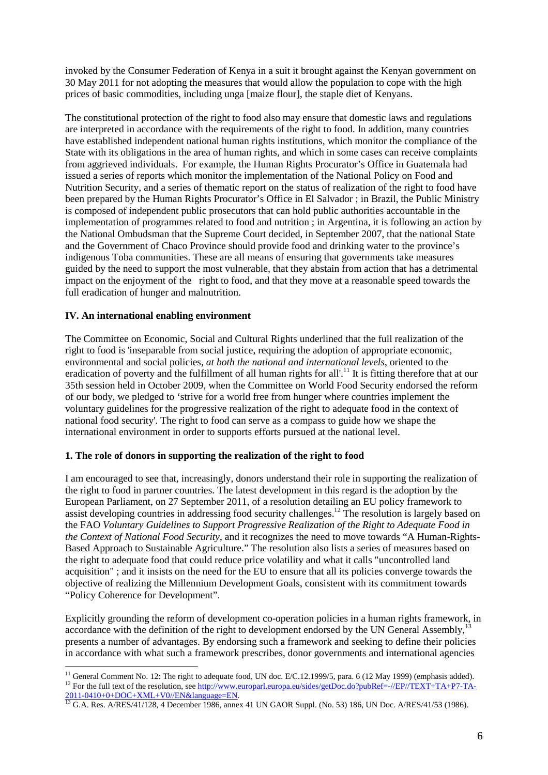invoked by the Consumer Federation of Kenya in a suit it brought against the Kenyan government on 30 May 2011 for not adopting the measures that would allow the population to cope with the high prices of basic commodities, including unga [maize flour], the staple diet of Kenyans.

The constitutional protection of the right to food also may ensure that domestic laws and regulations are interpreted in accordance with the requirements of the right to food. In addition, many countries have established independent national human rights institutions, which monitor the compliance of the State with its obligations in the area of human rights, and which in some cases can receive complaints from aggrieved individuals. For example, the Human Rights Procurator's Office in Guatemala had issued a series of reports which monitor the implementation of the National Policy on Food and Nutrition Security, and a series of thematic report on the status of realization of the right to food have been prepared by the Human Rights Procurator's Office in El Salvador ; in Brazil, the Public Ministry is composed of independent public prosecutors that can hold public authorities accountable in the implementation of programmes related to food and nutrition ; in Argentina, it is following an action by the National Ombudsman that the Supreme Court decided, in September 2007, that the national State and the Government of Chaco Province should provide food and drinking water to the province's indigenous Toba communities. These are all means of ensuring that governments take measures guided by the need to support the most vulnerable, that they abstain from action that has a detrimental impact on the enjoyment of the right to food, and that they move at a reasonable speed towards the full eradication of hunger and malnutrition.

### **IV. An international enabling environment**

The Committee on Economic, Social and Cultural Rights underlined that the full realization of the right to food is 'inseparable from social justice, requiring the adoption of appropriate economic, environmental and social policies, *at both the national and international levels*, oriented to the eradication of poverty and the fulfillment of all human rights for all'.<sup>11</sup> It is fitting therefore that at our 35th session held in October 2009, when the Committee on World Food Security endorsed the reform of our body, we pledged to 'strive for a world free from hunger where countries implement the voluntary guidelines for the progressive realization of the right to adequate food in the context of national food security'. The right to food can serve as a compass to guide how we shape the international environment in order to supports efforts pursued at the national level.

#### **1. The role of donors in supporting the realization of the right to food**

I am encouraged to see that, increasingly, donors understand their role in supporting the realization of the right to food in partner countries. The latest development in this regard is the adoption by the European Parliament, on 27 September 2011, of a resolution detailing an EU policy framework to assist developing countries in addressing food security challenges.<sup>12</sup> The resolution is largely based on the FAO *Voluntary Guidelines to Support Progressive Realization of the Right to Adequate Food in the Context of National Food Security*, and it recognizes the need to move towards "A Human-Rights-Based Approach to Sustainable Agriculture." The resolution also lists a series of measures based on the right to adequate food that could reduce price volatility and what it calls "uncontrolled land acquisition" ; and it insists on the need for the EU to ensure that all its policies converge towards the objective of realizing the Millennium Development Goals, consistent with its commitment towards "Policy Coherence for Development".

Explicitly grounding the reform of development co-operation policies in a human rights framework, in accordance with the definition of the right to development endorsed by the UN General Assembly,<sup>13</sup> presents a number of advantages. By endorsing such a framework and seeking to define their policies in accordance with what such a framework prescribes, donor governments and international agencies

 $\overline{a}$ <sup>11</sup> General Comment No. 12: The right to adequate food, UN doc. E/C.12.1999/5, para. 6 (12 May 1999) (emphasis added). <sup>12</sup> For the full text of the resolution, see http://www.europarl.europa.eu/sides/getDoc.do?pubRef=-//EP//TEXT+TA+P7-TA-2011-0410+0+DOC+XML+V0//EN&language=EN.

<sup>2011-0410407-1200 (</sup>AML) + 0626 (Compense 2011)<br><sup>13</sup> G.A. Res. A/RES/41/128, 4 December 1986, annex 41 UN GAOR Suppl. (No. 53) 186, UN Doc. A/RES/41/53 (1986).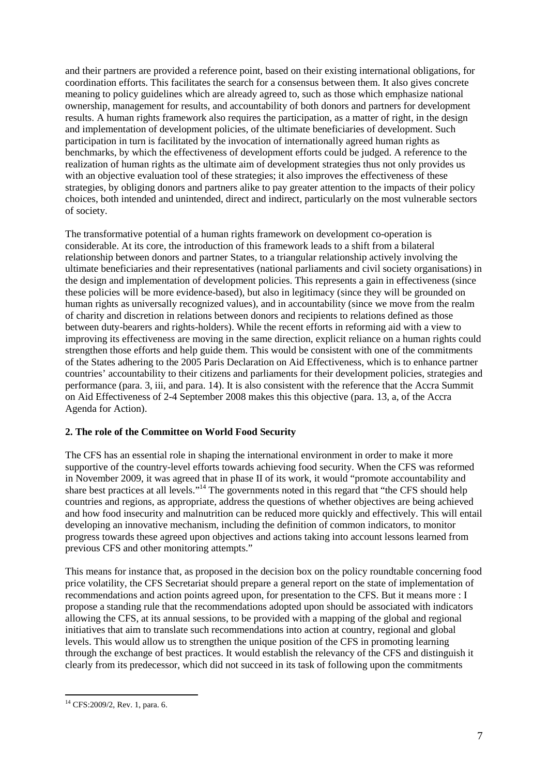and their partners are provided a reference point, based on their existing international obligations, for coordination efforts. This facilitates the search for a consensus between them. It also gives concrete meaning to policy guidelines which are already agreed to, such as those which emphasize national ownership, management for results, and accountability of both donors and partners for development results. A human rights framework also requires the participation, as a matter of right, in the design and implementation of development policies, of the ultimate beneficiaries of development. Such participation in turn is facilitated by the invocation of internationally agreed human rights as benchmarks, by which the effectiveness of development efforts could be judged. A reference to the realization of human rights as the ultimate aim of development strategies thus not only provides us with an objective evaluation tool of these strategies; it also improves the effectiveness of these strategies, by obliging donors and partners alike to pay greater attention to the impacts of their policy choices, both intended and unintended, direct and indirect, particularly on the most vulnerable sectors of society.

The transformative potential of a human rights framework on development co-operation is considerable. At its core, the introduction of this framework leads to a shift from a bilateral relationship between donors and partner States, to a triangular relationship actively involving the ultimate beneficiaries and their representatives (national parliaments and civil society organisations) in the design and implementation of development policies. This represents a gain in effectiveness (since these policies will be more evidence-based), but also in legitimacy (since they will be grounded on human rights as universally recognized values), and in accountability (since we move from the realm of charity and discretion in relations between donors and recipients to relations defined as those between duty-bearers and rights-holders). While the recent efforts in reforming aid with a view to improving its effectiveness are moving in the same direction, explicit reliance on a human rights could strengthen those efforts and help guide them. This would be consistent with one of the commitments of the States adhering to the 2005 Paris Declaration on Aid Effectiveness, which is to enhance partner countries' accountability to their citizens and parliaments for their development policies, strategies and performance (para. 3, iii, and para. 14). It is also consistent with the reference that the Accra Summit on Aid Effectiveness of 2-4 September 2008 makes this this objective (para. 13, a, of the Accra Agenda for Action).

## **2. The role of the Committee on World Food Security**

The CFS has an essential role in shaping the international environment in order to make it more supportive of the country-level efforts towards achieving food security. When the CFS was reformed in November 2009, it was agreed that in phase II of its work, it would "promote accountability and share best practices at all levels."<sup>14</sup> The governments noted in this regard that "the CFS should help countries and regions, as appropriate, address the questions of whether objectives are being achieved and how food insecurity and malnutrition can be reduced more quickly and effectively. This will entail developing an innovative mechanism, including the definition of common indicators, to monitor progress towards these agreed upon objectives and actions taking into account lessons learned from previous CFS and other monitoring attempts."

This means for instance that, as proposed in the decision box on the policy roundtable concerning food price volatility, the CFS Secretariat should prepare a general report on the state of implementation of recommendations and action points agreed upon, for presentation to the CFS. But it means more : I propose a standing rule that the recommendations adopted upon should be associated with indicators allowing the CFS, at its annual sessions, to be provided with a mapping of the global and regional initiatives that aim to translate such recommendations into action at country, regional and global levels. This would allow us to strengthen the unique position of the CFS in promoting learning through the exchange of best practices. It would establish the relevancy of the CFS and distinguish it clearly from its predecessor, which did not succeed in its task of following upon the commitments

 $\overline{a}$ <sup>14</sup> CFS:2009/2, Rev. 1, para. 6.